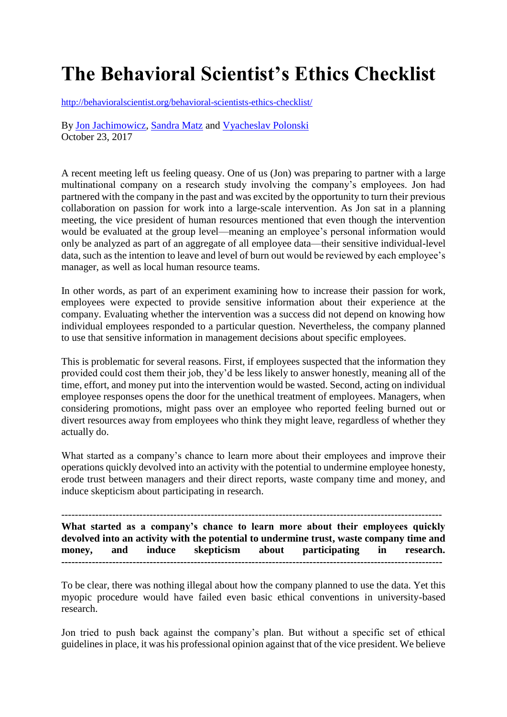# **The Behavioral Scientist's Ethics Checklist**

<http://behavioralscientist.org/behavioral-scientists-ethics-checklist/>

By [Jon Jachimowicz,](http://behavioralscientist.org/author/jon-jachimowicz/) [Sandra Matz](http://behavioralscientist.org/author/sandra-matz/) and [Vyacheslav Polonski](http://behavioralscientist.org/author/vyacheslav-polonski/) October 23, 2017

A recent meeting left us feeling queasy. One of us (Jon) was preparing to partner with a large multinational company on a research study involving the company's employees. Jon had partnered with the company in the past and was excited by the opportunity to turn their previous collaboration on passion for work into a large-scale intervention. As Jon sat in a planning meeting, the vice president of human resources mentioned that even though the intervention would be evaluated at the group level—meaning an employee's personal information would only be analyzed as part of an aggregate of all employee data—their sensitive individual-level data, such as the intention to leave and level of burn out would be reviewed by each employee's manager, as well as local human resource teams.

In other words, as part of an experiment examining how to increase their passion for work, employees were expected to provide sensitive information about their experience at the company. Evaluating whether the intervention was a success did not depend on knowing how individual employees responded to a particular question. Nevertheless, the company planned to use that sensitive information in management decisions about specific employees.

This is problematic for several reasons. First, if employees suspected that the information they provided could cost them their job, they'd be less likely to answer honestly, meaning all of the time, effort, and money put into the intervention would be wasted. Second, acting on individual employee responses opens the door for the unethical treatment of employees. Managers, when considering promotions, might pass over an employee who reported feeling burned out or divert resources away from employees who think they might leave, regardless of whether they actually do.

What started as a company's chance to learn more about their employees and improve their operations quickly devolved into an activity with the potential to undermine employee honesty, erode trust between managers and their direct reports, waste company time and money, and induce skepticism about participating in research.

---------------------------------------------------------------------------------------------------------------- **What started as a company's chance to learn more about their employees quickly devolved into an activity with the potential to undermine trust, waste company time and money, and induce skepticism about participating in research. ----------------------------------------------------------------------------------------------------------------**

To be clear, there was nothing illegal about how the company planned to use the data. Yet this myopic procedure would have failed even basic ethical conventions in university-based research.

Jon tried to push back against the company's plan. But without a specific set of ethical guidelines in place, it was his professional opinion against that of the vice president. We believe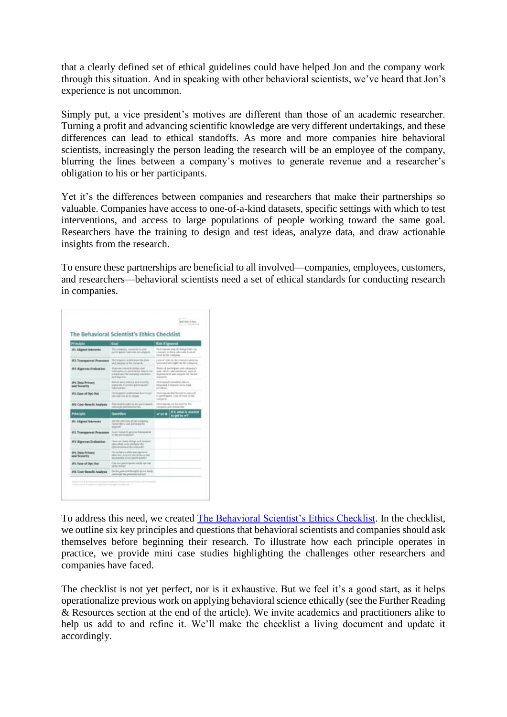that a clearly defined set of ethical guidelines could have helped Jon and the company work through this situation. And in speaking with other behavioral scientists, we've heard that Jon's experience is not uncommon.

Simply put, a vice president's motives are different than those of an academic researcher. Turning a profit and advancing scientific knowledge are very different undertakings, and these differences can lead to ethical standoffs. As more and more companies hire behavioral scientists, increasingly the person leading the research will be an employee of the company, blurring the lines between a company's motives to generate revenue and a researcher's obligation to his or her participants.

Yet it's the differences between companies and researchers that make their partnerships so valuable. Companies have access to one-of-a-kind datasets, specific settings with which to test interventions, and access to large populations of people working toward the same goal. Researchers have the training to design and test ideas, analyze data, and draw actionable insights from the research.

To ensure these partnerships are beneficial to all involved—companies, employees, customers, and researchers—behavioral scientists need a set of ethical standards for conducting research in companies.



To address this need, we created [The Behavioral Scientist's Ethics Checklist.](http://behavioralscientist.org/wp-content/uploads/2017/10/The-Behavioral-Scientists-Ethics-Checklist-1.pdf) In the checklist, we outline six key principles and questions that behavioral scientists and companies should ask themselves before beginning their research. To illustrate how each principle operates in practice, we provide mini case studies highlighting the challenges other researchers and companies have faced.

The checklist is not yet perfect, nor is it exhaustive. But we feel it's a good start, as it helps operationalize previous work on applying behavioral science ethically (see the Further Reading & Resources section at the end of the article). We invite academics and practitioners alike to help us add to and refine it. We'll make the checklist a living document and update it accordingly.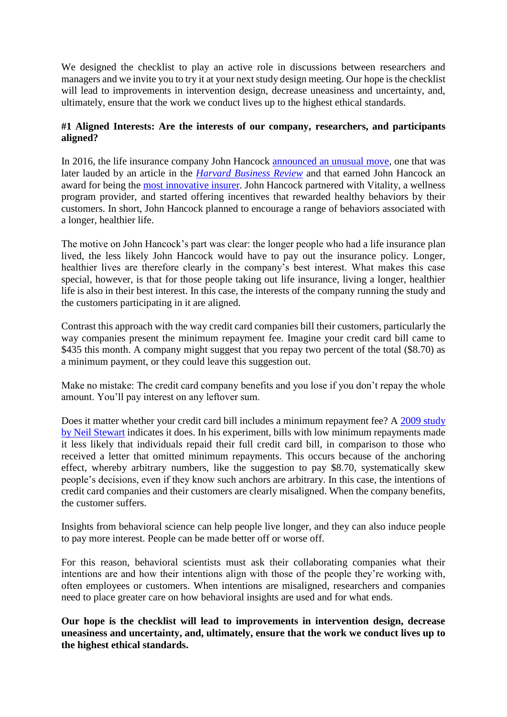We designed the checklist to play an active role in discussions between researchers and managers and we invite you to try it at your next study design meeting. Our hope is the checklist will lead to improvements in intervention design, decrease uneasiness and uncertainty, and, ultimately, ensure that the work we conduct lives up to the highest ethical standards.

#### **#1 Aligned Interests: Are the interests of our company, researchers, and participants aligned?**

In 2016, the life insurance company John Hancock [announced an unusual move,](https://finance.yahoo.com/news/john-hancock-vitality-life-insurance-140000403.html) one that was later lauded by an article in the *[Harvard Business Review](https://hbr.org/2017/06/can-insurance-companies-incentivize-their-customers-to-be-healthier)* and that earned John Hancock an award for being the [most innovative insurer.](http://www.prnewswire.com/news-releases/john-hancock-named-most-innovative-insurer-by-insurance-nexus-300436275.html) John Hancock partnered with Vitality, a wellness program provider, and started offering incentives that rewarded healthy behaviors by their customers. In short, John Hancock planned to encourage a range of behaviors associated with a longer, healthier life.

The motive on John Hancock's part was clear: the longer people who had a life insurance plan lived, the less likely John Hancock would have to pay out the insurance policy. Longer, healthier lives are therefore clearly in the company's best interest. What makes this case special, however, is that for those people taking out life insurance, living a longer, healthier life is also in their best interest. In this case, the interests of the company running the study and the customers participating in it are aligned.

Contrast this approach with the way credit card companies bill their customers, particularly the way companies present the minimum repayment fee. Imagine your credit card bill came to \$435 this month. A company might suggest that you repay two percent of the total (\$8.70) as a minimum payment, or they could leave this suggestion out.

Make no mistake: The credit card company benefits and you lose if you don't repay the whole amount. You'll pay interest on any leftover sum.

Does it matter whether your credit card bill includes a minimum repayment fee? A 2009 study [by Neil Stewart](http://citeseerx.ist.psu.edu/viewdoc/download?doi=10.1.1.318.6526&rep=rep1&type=pdf) indicates it does. In his experiment, bills with low minimum repayments made it less likely that individuals repaid their full credit card bill, in comparison to those who received a letter that omitted minimum repayments. This occurs because of the anchoring effect, whereby arbitrary numbers, like the suggestion to pay \$8.70, systematically skew people's decisions, even if they know such anchors are arbitrary. In this case, the intentions of credit card companies and their customers are clearly misaligned. When the company benefits, the customer suffers.

Insights from behavioral science can help people live longer, and they can also induce people to pay more interest. People can be made better off or worse off.

For this reason, behavioral scientists must ask their collaborating companies what their intentions are and how their intentions align with those of the people they're working with, often employees or customers. When intentions are misaligned, researchers and companies need to place greater care on how behavioral insights are used and for what ends.

**Our hope is the checklist will lead to improvements in intervention design, decrease uneasiness and uncertainty, and, ultimately, ensure that the work we conduct lives up to the highest ethical standards.**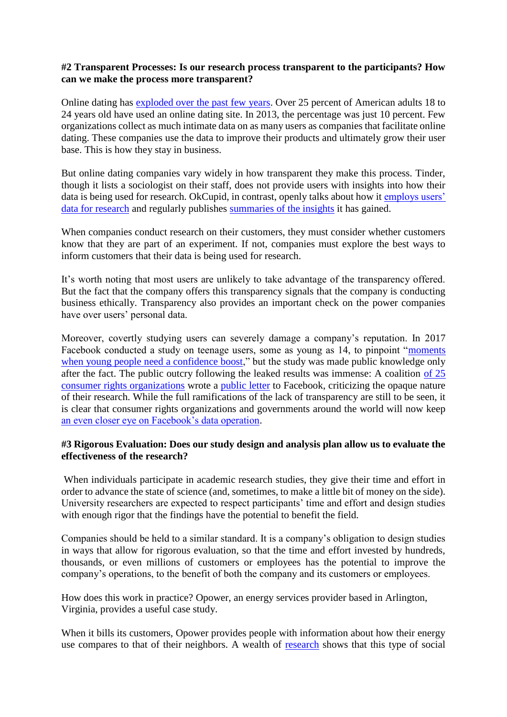#### **#2 Transparent Processes: Is our research process transparent to the participants? How can we make the process more transparent?**

Online dating has [exploded over the past few years.](http://www.pewinternet.org/2016/02/11/15-percent-of-american-adults-have-used-online-dating-sites-or-mobile-dating-apps/) Over 25 percent of American adults 18 to 24 years old have used an online dating site. In 2013, the percentage was just 10 percent. Few organizations collect as much intimate data on as many users as companies that facilitate online dating. These companies use the data to improve their products and ultimately grow their user base. This is how they stay in business.

But online dating companies vary widely in how transparent they make this process. Tinder, though it lists a sociologist on their staff, does not provide users with insights into how their data is being used for research. OkCupid, in contrast, openly talks about how it [employs users'](https://theblog.okcupid.com/we-experiment-on-human-beings-5dd9fe280cd5)  [data for research](https://theblog.okcupid.com/we-experiment-on-human-beings-5dd9fe280cd5) and regularly publishes [summaries of the insights](https://theblog.okcupid.com/tagged/data) it has gained.

When companies conduct research on their customers, they must consider whether customers know that they are part of an experiment. If not, companies must explore the best ways to inform customers that their data is being used for research.

It's worth noting that most users are unlikely to take advantage of the transparency offered. But the fact that the company offers this transparency signals that the company is conducting business ethically. Transparency also provides an important check on the power companies have over users' personal data.

Moreover, covertly studying users can severely damage a company's reputation. In 2017 Facebook conducted a study on teenage users, some as young as 14, to pinpoint ["moments](https://www.technologyreview.com/s/604307/is-facebook-targeting-ads-at-sad-teens/)  [when young people need a confidence boost,](https://www.technologyreview.com/s/604307/is-facebook-targeting-ads-at-sad-teens/)" but the study was made public knowledge only after the fact. The public outcry following the leaked results was immense: A coalition [of 25](http://www.marketwatch.com/story/facebook-says-it-doesnt-target-vulnerable-teens-with-ads-but-it-has-studied-them-2017-05-01)  [consumer rights organizations](http://www.marketwatch.com/story/facebook-says-it-doesnt-target-vulnerable-teens-with-ads-but-it-has-studied-them-2017-05-01) wrote a [public letter](https://www.citizen.org/system/files/case_documents/letter-to-facebook_2.pdf) to Facebook, criticizing the opaque nature of their research. While the full ramifications of the lack of transparency are still to be seen, it is clear that consumer rights organizations and governments around the world will now keep [an even closer eye on Facebook's data operation.](https://www.nytimes.com/2016/09/28/technology/whatsapp-facebook-germany.html?mcubz=2&_r=0)

#### **#3 Rigorous Evaluation: Does our study design and analysis plan allow us to evaluate the effectiveness of the research?**

When individuals participate in academic research studies, they give their time and effort in order to advance the state of science (and, sometimes, to make a little bit of money on the side). University researchers are expected to respect participants' time and effort and design studies with enough rigor that the findings have the potential to benefit the field.

Companies should be held to a similar standard. It is a company's obligation to design studies in ways that allow for rigorous evaluation, so that the time and effort invested by hundreds, thousands, or even millions of customers or employees has the potential to improve the company's operations, to the benefit of both the company and its customers or employees.

How does this work in practice? Opower, an energy services provider based in Arlington, Virginia, provides a useful case study.

When it bills its customers, Opower provides people with information about how their energy use compares to that of their neighbors. A wealth of [research](https://www.povertyactionlab.org/sites/default/files/publications/899%20Allcott%20and%20Rogers%20AER2014%20The%20Short-Run%20and%20Long-Run%20Effects%20of%20Behavioral%20Interventions.pdf) shows that this type of social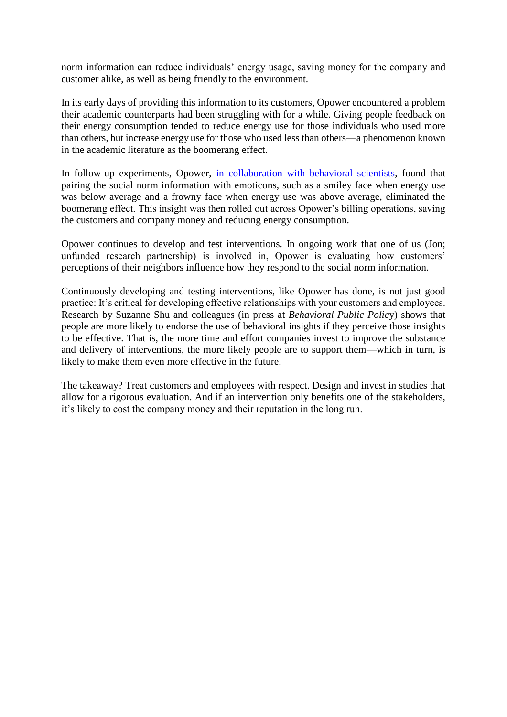norm information can reduce individuals' energy usage, saving money for the company and customer alike, as well as being friendly to the environment.

In its early days of providing this information to its customers, Opower encountered a problem their academic counterparts had been struggling with for a while. Giving people feedback on their energy consumption tended to reduce energy use for those individuals who used more than others, but increase energy use for those who used less than others—a phenomenon known in the academic literature as the boomerang effect.

In follow-up experiments, Opower, [in collaboration with behavioral scientists,](http://www.rug.nl/gmw/psychology/research/onderzoek_summerschool/firststep/content/papers/2.4.pdf) found that pairing the social norm information with emoticons, such as a smiley face when energy use was below average and a frowny face when energy use was above average, eliminated the boomerang effect. This insight was then rolled out across Opower's billing operations, saving the customers and company money and reducing energy consumption.

Opower continues to develop and test interventions. In ongoing work that one of us (Jon; unfunded research partnership) is involved in, Opower is evaluating how customers' perceptions of their neighbors influence how they respond to the social norm information.

Continuously developing and testing interventions, like Opower has done, is not just good practice: It's critical for developing effective relationships with your customers and employees. Research by Suzanne Shu and colleagues (in press at *Behavioral Public Polic*y) shows that people are more likely to endorse the use of behavioral insights if they perceive those insights to be effective. That is, the more time and effort companies invest to improve the substance and delivery of interventions, the more likely people are to support them—which in turn, is likely to make them even more effective in the future.

The takeaway? Treat customers and employees with respect. Design and invest in studies that allow for a rigorous evaluation. And if an intervention only benefits one of the stakeholders, it's likely to cost the company money and their reputation in the long run.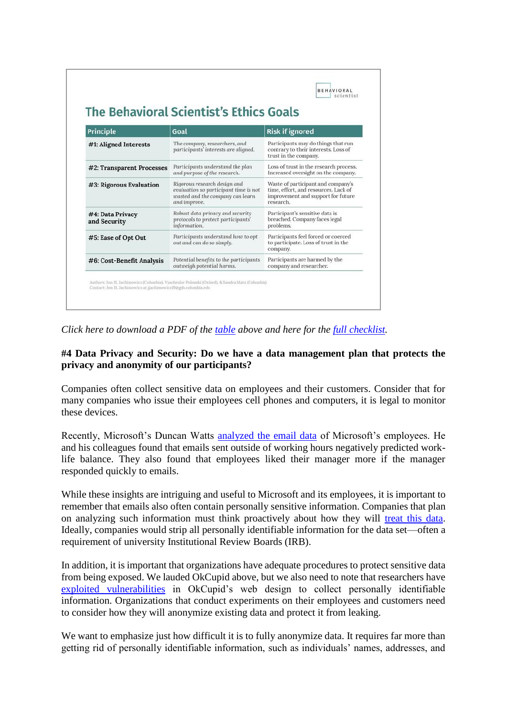| <b>Principle</b>                 | Goal                                                                                                                      | <b>Risk if ignored</b>                                                                                                        |
|----------------------------------|---------------------------------------------------------------------------------------------------------------------------|-------------------------------------------------------------------------------------------------------------------------------|
| #1: Aligned Interests            | The company, researchers, and<br>participants' interests are aligned.                                                     | Participants may do things that run<br>contrary to their interests. Loss of<br>trust in the company.                          |
| #2: Transparent Processes        | Participants understand the plan<br>and purpose of the research.                                                          | Loss of trust in the research process.<br>Increased oversight on the company.                                                 |
| #3: Rigorous Evaluation          | Rigorous research design and<br>evaluation so participant time is not<br>wasted and the company can learn<br>and improve. | Waste of participant and company's<br>time, effort, and resources. Lack of<br>improvement and support for future<br>research. |
| #4: Data Privacy<br>and Security | Robust data privacy and security<br>protocols to protect participants'<br>information.                                    | Participant's sensitive data is<br>breached. Company faces legal<br>problems.                                                 |
| #5: Ease of Opt Out              | Participants understand how to opt<br>out and can do so simply.                                                           | Participants feel forced or coerced<br>to participate. Loss of trust in the<br>company.                                       |
| #6: Cost-Benefit Analysis        | Potential benefits to the participants<br>outweigh potential harms.                                                       | Participants are harmed by the<br>company and researcher.                                                                     |

*Click here to download a PDF of the [table](http://behavioralscientist.org/wp-content/uploads/2017/10/The-Behavioral-Scientists-Ethics-Goals.pdf) above and here for the [full checklist.](http://behavioralscientist.org/wp-content/uploads/2017/10/The-Behavioral-Scientists-Ethics-Checklist-1.pdf)*

#### **#4 Data Privacy and Security: Do we have a data management plan that protects the privacy and anonymity of our participants?**

Companies often collect sensitive data on employees and their customers. Consider that for many companies who issue their employees cell phones and computers, it is legal to monitor these devices.

Recently, Microsoft's Duncan Watts [analyzed the email data](https://medium.com/@duncanjwatts/the-organizational-spectroscope-7f9f239a897c) of Microsoft's employees. He and his colleagues found that emails sent outside of working hours negatively predicted worklife balance. They also found that employees liked their manager more if the manager responded quickly to emails.

While these insights are intriguing and useful to Microsoft and its employees, it is important to remember that emails also often contain personally sensitive information. Companies that plan on analyzing such information must think proactively about how they will [treat this data.](https://medium.com/@hannawallach/big-data-machine-learning-and-the-social-sciences-927a8e20460d) Ideally, companies would strip all personally identifiable information for the data set—often a requirement of university Institutional Review Boards (IRB).

In addition, it is important that organizations have adequate procedures to protect sensitive data from being exposed. We lauded OkCupid above, but we also need to note that researchers have [exploited vulnerabilities](https://www.wired.com/2016/05/okcupid-study-reveals-perils-big-data-science/) in OkCupid's web design to collect personally identifiable information. Organizations that conduct experiments on their employees and customers need to consider how they will anonymize existing data and protect it from leaking.

We want to emphasize just how difficult it is to fully anonymize data. It requires far more than getting rid of personally identifiable information, such as individuals' names, addresses, and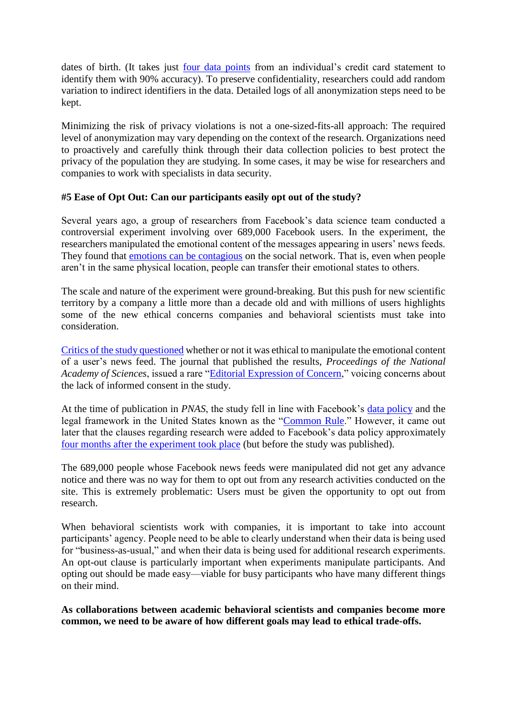dates of birth. (It takes just [four data points](http://science.sciencemag.org/content/347/6221/536.full) from an individual's credit card statement to identify them with 90% accuracy). To preserve confidentiality, researchers could add random variation to indirect identifiers in the data. Detailed logs of all anonymization steps need to be kept.

Minimizing the risk of privacy violations is not a one-sized-fits-all approach: The required level of anonymization may vary depending on the context of the research. Organizations need to proactively and carefully think through their data collection policies to best protect the privacy of the population they are studying. In some cases, it may be wise for researchers and companies to work with specialists in data security.

#### **#5 Ease of Opt Out: Can our participants easily opt out of the study?**

Several years ago, a group of researchers from Facebook's data science team conducted a controversial experiment involving over 689,000 Facebook users. In the experiment, the researchers manipulated the emotional content of the messages appearing in users' news feeds. They found that [emotions can be contagious](https://www.researchgate.net/profile/Jeffrey_Hancock/publication/262813340_Experimental_Evidence_of_Massive-Scale_Emotional_Contagion_Through_Social_Networks/links/5418aed90cf2218008bf43ce.pdf) on the social network. That is, even when people aren't in the same physical location, people can transfer their emotional states to others.

The scale and nature of the experiment were ground-breaking. But this push for new scientific territory by a company a little more than a decade old and with millions of users highlights some of the new ethical concerns companies and behavioral scientists must take into consideration.

[Critics of the study questioned](https://www.theguardian.com/science/head-quarters/2014/jul/01/facebook-cornell-study-emotional-contagion-ethics-breach) whether or not it was ethical to manipulate the emotional content of a user's news feed. The journal that published the results, *Proceedings of the National Academy of Sciences*, issued a rare ["Editorial Expression of Concern,](http://www.pnas.org/content/early/2014/07/02/1412469111.full.pdf)" voicing concerns about the lack of informed consent in the study.

At the time of publication in *PNAS*, the study fell in line with Facebook's [data policy](https://www.facebook.com/full_data_use_policy) and the legal framework in the United States known as the ["Common Rule.](http://www.hhs.gov/ohrp/humansubjects/commonrule/)" However, it came out later that the clauses regarding research were added to Facebook's data policy approximately [four months after the experiment took place](http://www.forbes.com/sites/kashmirhill/2014/06/30/facebook-only-got-permission-to-do-research-on-users-after-emotion-manipulation-study/) (but before the study was published).

The 689,000 people whose Facebook news feeds were manipulated did not get any advance notice and there was no way for them to opt out from any research activities conducted on the site. This is extremely problematic: Users must be given the opportunity to opt out from research.

When behavioral scientists work with companies, it is important to take into account participants' agency. People need to be able to clearly understand when their data is being used for "business-as-usual," and when their data is being used for additional research experiments. An opt-out clause is particularly important when experiments manipulate participants. And opting out should be made easy—viable for busy participants who have many different things on their mind.

**As collaborations between academic behavioral scientists and companies become more common, we need to be aware of how different goals may lead to ethical trade-offs.**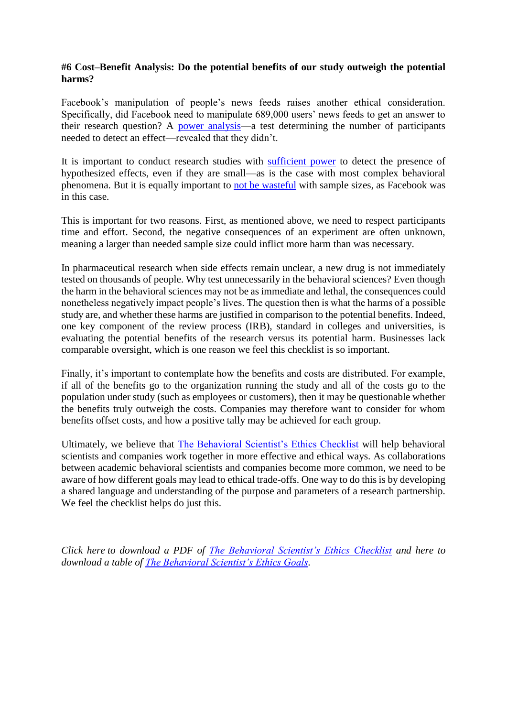#### **#6 Cost–Benefit Analysis: Do the potential benefits of our study outweigh the potential harms?**

Facebook's manipulation of people's news feeds raises another ethical consideration. Specifically, did Facebook need to manipulate 689,000 users' news feeds to get an answer to their research question? A [power analysis—](https://designingexperiments.com/)a test determining the number of participants needed to detect an effect—revealed that they didn't.

It is important to conduct research studies with [sufficient power](http://datacolada.org/18) to detect the presence of hypothesized effects, even if they are small—as is the case with most complex behavioral phenomena. But it is equally important to [not be wasteful](http://datacolada.org/54) with sample sizes, as Facebook was in this case.

This is important for two reasons. First, as mentioned above, we need to respect participants time and effort. Second, the negative consequences of an experiment are often unknown, meaning a larger than needed sample size could inflict more harm than was necessary.

In pharmaceutical research when side effects remain unclear, a new drug is not immediately tested on thousands of people. Why test unnecessarily in the behavioral sciences? Even though the harm in the behavioral sciences may not be as immediate and lethal, the consequences could nonetheless negatively impact people's lives. The question then is what the harms of a possible study are, and whether these harms are justified in comparison to the potential benefits. Indeed, one key component of the review process (IRB), standard in colleges and universities, is evaluating the potential benefits of the research versus its potential harm. Businesses lack comparable oversight, which is one reason we feel this checklist is so important.

Finally, it's important to contemplate how the benefits and costs are distributed. For example, if all of the benefits go to the organization running the study and all of the costs go to the population under study (such as employees or customers), then it may be questionable whether the benefits truly outweigh the costs. Companies may therefore want to consider for whom benefits offset costs, and how a positive tally may be achieved for each group.

Ultimately, we believe that [The Behavioral Scientist's Ethics Checklist](http://behavioralscientist.org/wp-content/uploads/2017/10/The-Behavioral-Scientists-Ethics-Checklist-1.pdf) will help behavioral scientists and companies work together in more effective and ethical ways. As collaborations between academic behavioral scientists and companies become more common, we need to be aware of how different goals may lead to ethical trade-offs. One way to do this is by developing a shared language and understanding of the purpose and parameters of a research partnership. We feel the checklist helps do just this.

*Click here to download a PDF of [The Behavioral Scientist's Ethics Checklist](http://behavioralscientist.org/wp-content/uploads/2017/10/The-Behavioral-Scientists-Ethics-Checklist-1.pdf) and here to download a table of [The Behavioral Scientist's Ethics Goals.](http://behavioralscientist.org/wp-content/uploads/2017/10/The-Behavioral-Scientists-Ethics-Goals.pdf)*